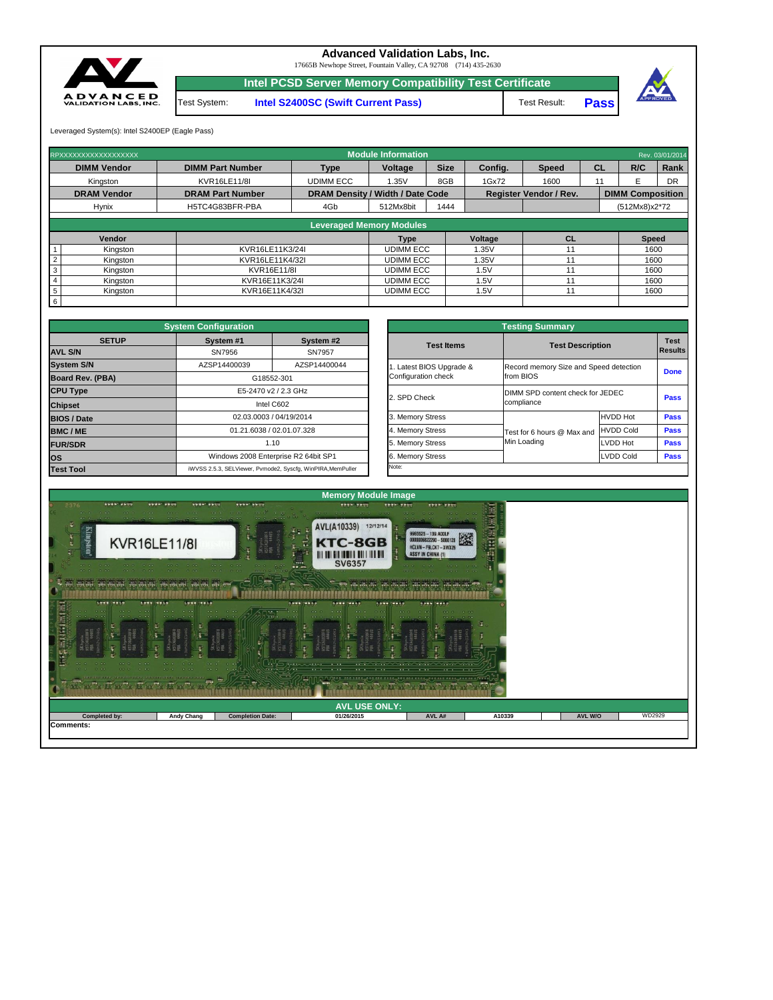| $\begin{array}{cccccccccccccc} \bullet & \bullet & \bullet & \bullet & \bullet & \bullet & \bullet & \bullet \end{array}$<br><b>CONSTRUCTION</b><br>$-0.01$ $-0.01$ $-0.01$<br>$\mathfrak{g}^{\ast}(\Phi)\oplus\mathfrak{g}^{\ast}(\Phi)\oplus\mathfrak{g}^{\ast}(\Phi)\oplus\mathfrak{g}^{\ast}(\Phi)\oplus\mathfrak{g}^{\ast}(\Phi)\oplus\mathfrak{g}^{\ast}(\Phi)\oplus\mathfrak{g}^{\ast}(\Phi)\oplus\mathfrak{g}^{\ast}(\Phi)\oplus\mathfrak{g}^{\ast}(\Phi)\oplus\mathfrak{g}^{\ast}(\Phi)\oplus\mathfrak{g}^{\ast}(\Phi)\oplus\mathfrak{g}^{\ast}(\Phi)\oplus\mathfrak{g}^{\ast}(\Phi)\oplus\mathfrak{g}^{\ast}(\$<br>LESS CETTE LES COFFEE EST | the contract of the contract of<br>$-0.0$ $-0.0$ $-0.00$<br><b>COLOR</b><br>0.6778 | <b>BOOK BOOK</b><br>$1.7.74 - 0.7.74$<br>$\sim$ $\sim$ $\sim$ | $\mathcal{L}^{\bullet}$ . The concept $\mathcal{L}^{\bullet}$<br>THE R. P. LEWIS CO., LANSING, MICH. 49-14039-1-120-2 | いいさん くろうけん くんじん くんきん くんきょう くらんけん |        |         |        |  |  |
|--------------------------------------------------------------------------------------------------------------------------------------------------------------------------------------------------------------------------------------------------------------------------------------------------------------------------------------------------------------------------------------------------------------------------------------------------------------------------------------------------------------------------------------------------------------------------------------------------------------------------------------------------------|------------------------------------------------------------------------------------|---------------------------------------------------------------|-----------------------------------------------------------------------------------------------------------------------|----------------------------------|--------|---------|--------|--|--|
| <b>AVL USE ONLY:</b>                                                                                                                                                                                                                                                                                                                                                                                                                                                                                                                                                                                                                                   |                                                                                    |                                                               |                                                                                                                       |                                  |        |         |        |  |  |
| <b>Completed by:</b>                                                                                                                                                                                                                                                                                                                                                                                                                                                                                                                                                                                                                                   | <b>Andy Chang</b>                                                                  | <b>Completion Date:</b>                                       | 01/26/2015                                                                                                            | AVL A#                           | A10339 | AVL W/O | WD2929 |  |  |
| Comments:                                                                                                                                                                                                                                                                                                                                                                                                                                                                                                                                                                                                                                              |                                                                                    |                                                               |                                                                                                                       |                                  |        |         |        |  |  |



| <b>Testing Summary</b>                          |                            |                                        |             |  |  |  |  |  |
|-------------------------------------------------|----------------------------|----------------------------------------|-------------|--|--|--|--|--|
| <b>Test Items</b>                               |                            | <b>Test Description</b>                |             |  |  |  |  |  |
| 1. Latest BIOS Upgrade &<br>Configuration check | from BIOS                  | Record memory Size and Speed detection |             |  |  |  |  |  |
| 2. SPD Check                                    | compliance                 | DIMM SPD content check for JEDEC       |             |  |  |  |  |  |
| 3. Memory Stress                                |                            | <b>HVDD Hot</b>                        | <b>Pass</b> |  |  |  |  |  |
| 4. Memory Stress                                | Test for 6 hours @ Max and | <b>HVDD Cold</b>                       | <b>Pass</b> |  |  |  |  |  |
| 5. Memory Stress                                | Min Loading                | LVDD Hot                               | <b>Pass</b> |  |  |  |  |  |
| 6. Memory Stress                                |                            | <b>LVDD Cold</b>                       | <b>Pass</b> |  |  |  |  |  |
| Note:                                           |                            |                                        |             |  |  |  |  |  |

|                         | <b>System Configuration</b> |                                                             | <b>Testing Summary</b> |                                                |                                        |             |  |  |
|-------------------------|-----------------------------|-------------------------------------------------------------|------------------------|------------------------------------------------|----------------------------------------|-------------|--|--|
| <b>SETUP</b>            | System #1                   | System #2                                                   |                        | <b>Test Description</b>                        |                                        |             |  |  |
| <b>AVL S/N</b>          | SN7956                      | SN7957                                                      | <b>Test Items</b>      |                                                |                                        |             |  |  |
| <b>System S/N</b>       | AZSP14400039                | AZSP14400044                                                | Latest BIOS Upgrade &  |                                                | Record memory Size and Speed detection |             |  |  |
| <b>Board Rev. (PBA)</b> |                             | G18552-301                                                  | Configuration check    | from BIOS                                      |                                        |             |  |  |
| <b>CPU Type</b>         |                             | E5-2470 v2 / 2.3 GHz                                        |                        | DIMM SPD content check for JEDEC<br>compliance |                                        |             |  |  |
| <b>Chipset</b>          |                             | Intel C602                                                  | 2. SPD Check           |                                                |                                        |             |  |  |
| <b>BIOS / Date</b>      |                             | 02.03.0003 / 04/19/2014                                     | 3. Memory Stress       |                                                | <b>HVDD Hot</b>                        | <b>Pass</b> |  |  |
| <b>BMC/ME</b>           |                             | 01.21.6038 / 02.01.07.328                                   | 4. Memory Stress       | Test for 6 hours @ Max and                     | <b>HVDD Cold</b>                       | <b>Pass</b> |  |  |
| <b>FUR/SDR</b>          |                             | 1.10                                                        |                        | Min Loading                                    | <b>LVDD Hot</b>                        | <b>Pass</b> |  |  |
| los                     |                             | Windows 2008 Enterprise R2 64bit SP1                        |                        |                                                | LVDD Cold                              | <b>Pass</b> |  |  |
| <b>Test Tool</b>        |                             | iWVSS 2.5.3, SELViewer, Pvmode2, Syscfg, WinPIRA, MemPuller | Note:                  |                                                |                                        |             |  |  |

|                         | RPXXXXXXXXXXXXXXXXXX            |                         |                                                                          | <b>Module Information</b> |             |         |              |      |                         | Rev. 03/01/2014 |  |
|-------------------------|---------------------------------|-------------------------|--------------------------------------------------------------------------|---------------------------|-------------|---------|--------------|------|-------------------------|-----------------|--|
|                         | <b>DIMM Vendor</b>              | <b>DIMM Part Number</b> | <b>Type</b>                                                              | Voltage                   | <b>Size</b> | Config. | <b>Speed</b> | CL   | R/C                     | Rank            |  |
|                         | Kingston                        | <b>KVR16LE11/8I</b>     | <b>UDIMM ECC</b>                                                         | 1.35V                     | 8GB         | 1Gx72   | 1600         | 11   |                         | <b>DR</b>       |  |
|                         | <b>DRAM Vendor</b>              | <b>DRAM Part Number</b> | <b>DRAM Density / Width / Date Code</b><br><b>Register Vendor / Rev.</b> |                           |             |         |              |      | <b>DIMM Composition</b> |                 |  |
|                         | <b>Hynix</b>                    | H5TC4G83BFR-PBA         | 4Gb                                                                      | 512Mx8bit                 | 1444        |         |              |      | (512Mx8)x2*72           |                 |  |
|                         | <b>Leveraged Memory Modules</b> |                         |                                                                          |                           |             |         |              |      |                         |                 |  |
|                         |                                 |                         |                                                                          |                           |             |         |              |      |                         |                 |  |
|                         | Vendor                          |                         |                                                                          | <b>Type</b>               |             | Voltage | <b>CL</b>    |      | <b>Speed</b>            |                 |  |
|                         | Kingston                        | KVR16LE11K3/24I         |                                                                          | <b>UDIMM ECC</b>          |             | 1.35V   | 11           |      | 1600                    |                 |  |
| $\vert$ 2               | Kingston                        | KVR16LE11K4/32I         |                                                                          | <b>UDIMM ECC</b>          |             | 1.35V   | 11           |      |                         | 1600            |  |
| $\overline{\mathbf{3}}$ | Kingston                        |                         | KVR16E11/8I                                                              |                           |             | 1.5V    | 11           | 1600 |                         |                 |  |
| $\vert 4$               | Kingston                        |                         | KVR16E11K3/24I                                                           |                           |             | 1.5V    | 11           | 1600 |                         |                 |  |
| $5\overline{5}$         | Kingston                        |                         | KVR16E11K4/32I                                                           |                           |             | 1.5V    | 11           |      | 1600                    |                 |  |
| 6                       |                                 |                         |                                                                          |                           |             |         |              |      |                         |                 |  |

**Pass**



17665B Newhope Street, Fountain Valley, CA 92708 (714) 435-2630

**Intel PCSD Server Memory Compatibility Test Certificate**

Test System: **Intel S2400SC (Swift Current Pass)** Test Result:

Leveraged System(s): Intel S2400EP (Eagle Pass)



## **Advanced Validation Labs, Inc.**